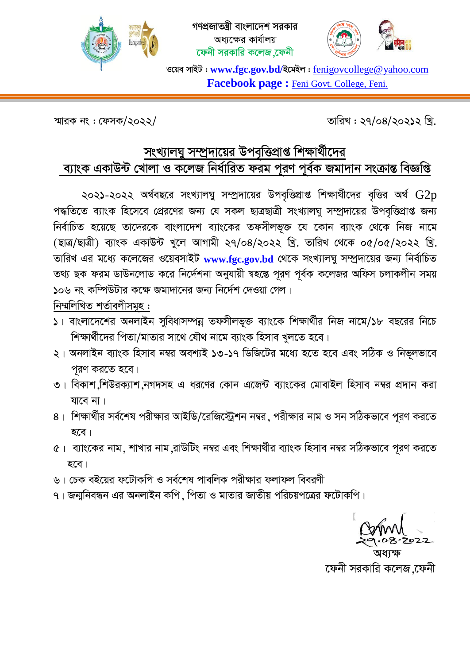



ওয়েব সাইট : www.fgc.gov.bd/ইমেইল : fenigovcollege@yahoo.com Facebook page : Feni Govt. College, Feni.

স্মারক নং: ফেসক/২০২২/

তারিখ: ২৭/০৪/২০২১২ খি.

## সংখ্যালঘু সম্প্রদায়ের উপবৃত্তিপ্রাপ্ত শিক্ষার্থীদের ব্যাংক একাউন্ট খোলা ও কলেজ নিৰ্ধারিত ফরম পুরণ পূর্বক জমাদান সংক্রান্ত বিজ্ঞপ্তি

২০২১-২০২২ অর্থবছরে সংখ্যালঘু সম্প্রদায়ের উপবৃত্তিপ্রাপ্ত শিক্ষার্থীদের বৃত্তির অর্থ  $\operatorname{G2p}$ পদ্ধতিতে ব্যাংক হিসেবে প্রেরণের জন্য যে সকল ছাত্রছাত্রী সংখ্যালঘু সম্প্রদায়ের উপবৃত্তিপ্রাপ্ত জন্য নির্বাচিত হয়েছে তাদেরকে বাংলাদেশ ব্যাংকের তফসীলভূক্ত যে কোন ব্যাংক থেকে নিজ নামে (ছাত্ৰ/ছাত্ৰী) ব্যাংক একাউন্ট খুলে আগামী ২৭/০৪/২০২২ খ্ৰি. তারিখ থেকে ০৫/০৫/২০২২ খ্ৰি. তারিখ এর মধ্যে কলেজের ওয়েবসাইট www.fgc.gov.bd থেকে সংখ্যালঘু সম্প্রদায়ের জন্য নির্বাচিত তথ্য ছক ফরম ডাউনলোড করে নির্দেশনা অনুযায়ী স্বহন্তে পুরণ পূর্বক কলেজর অফিস চলাকলীন সময় ১০৬ নং কম্পিউটার কক্ষে জমাদানের জন্য নির্দেশ দেওয়া গেল।

নিম্মলিখিত শৰ্তাবলীসমূহ:

- ১। বাংলাদেশের অনলাইন সুবিধাসম্পন্ন তফসীলভূক্ত ব্যাংকে শিক্ষার্থীর নিজ নামে/১৮ বছরের নিচে শিক্ষার্থীদের পিতা/মাতার সাথে যৌথ নামে ব্যাংক হিসাব খুলতে হবে।
- ২। অনলাইন ব্যাংক হিসাব নম্বর অবশ্যই ১৩-১৭ ডিজিটের মধ্যে হতে হবে এবং সঠিক ও নিভূলভাবে পুরণ করতে হবে।
- ৩। বিকাশ শিউরক্যাশ নগদসহ এ ধরণের কোন এজেন্ট ব্যাংকের মোবাইল হিসাব নম্বর প্রদান করা যাবে না।
- ৪। শিক্ষার্থীর সর্বশেষ পরীক্ষার আইডি/রেজিস্ট্রেশন নম্বর, পরীক্ষার নাম ও সন সঠিকভাবে পূরণ করতে হবে।
- ৫। ব্যাংকের নাম, শাখার নাম,রাউটিং নম্বর এবং শিক্ষার্থীর ব্যাংক হিসাব নম্বর সঠিকভাবে পূরণ করতে হবে।
- ৬। চেক বইয়ের ফটোকপি ও সর্বশেষ পাবলিক পরীক্ষার ফলাফল বিবরণী
- ৭। জন্মনিবন্ধন এর অনলাইন কপি, পিতা ও মাতার জাতীয় পরিচয়পত্রের ফটোকপি।

ফেনী সরকারি কলেজ ফেেনী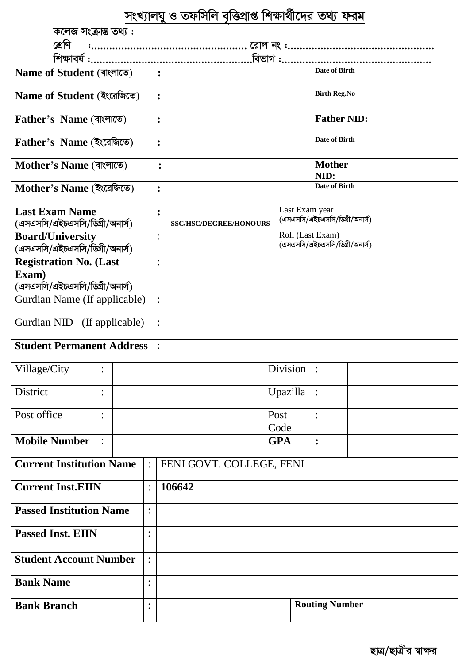|                                                                |                |  |                |                | সংখ্যালঘু ও তফসিলি বৃত্তিপ্রাপ্ত শিক্ষার্থীদের তথ্য ফরম |                    |                                                    |  |  |  |
|----------------------------------------------------------------|----------------|--|----------------|----------------|---------------------------------------------------------|--------------------|----------------------------------------------------|--|--|--|
| কলেজ সংক্ৰান্ত তথ্য:                                           |                |  |                |                |                                                         |                    |                                                    |  |  |  |
|                                                                |                |  |                |                |                                                         |                    |                                                    |  |  |  |
|                                                                |                |  |                |                |                                                         |                    |                                                    |  |  |  |
| Name of Student (বাংলাতে)                                      |                |  |                | $\ddot{\cdot}$ |                                                         |                    | <b>Date of Birth</b>                               |  |  |  |
| Name of Student (ইংরেজিতে)                                     |                |  |                | $\ddot{\cdot}$ |                                                         |                    | <b>Birth Reg.No</b>                                |  |  |  |
| <b>Father's Name</b> (বাংলাতে)                                 |                |  |                | $\ddot{\cdot}$ |                                                         | <b>Father NID:</b> |                                                    |  |  |  |
| Father's Name (ইংরেজিতে)                                       |                |  |                | $\ddot{\cdot}$ |                                                         |                    | Date of Birth                                      |  |  |  |
| Mother's Name (বাংলাতে)                                        |                |  |                | $\ddot{\cdot}$ |                                                         |                    | <b>Mother</b><br>NID:                              |  |  |  |
| Mother's Name (ইংরেজিতে)                                       |                |  |                | $\ddot{\cdot}$ |                                                         |                    | Date of Birth                                      |  |  |  |
| <b>Last Exam Name</b><br>(এসএসসি/এইচএসসি/ডিগ্রী/অনার্স)        |                |  |                | :              | <b>SSC/HSC/DEGREE/HONOURS</b>                           | Last Exam year     | (এসএসসি/এইচএসসি/ডিগ্রী/অনার্স)                     |  |  |  |
| <b>Board/University</b><br>(এসএসসি/এইচএসসি/ডিগ্রী/অনার্স)      |                |  |                | $\ddot{\cdot}$ |                                                         |                    | Roll (Last Exam)<br>(এসএসসি/এইচএসসি/ডিগ্রী/অনার্স) |  |  |  |
| <b>Registration No. (Last</b><br>Exam)                         |                |  |                | $\ddot{\cdot}$ |                                                         |                    |                                                    |  |  |  |
| (এসএসসি/এইচএসসি/ডিগ্রী/অনার্স)<br>Gurdian Name (If applicable) |                |  |                | $\ddot{\cdot}$ |                                                         |                    |                                                    |  |  |  |
| Gurdian NID (If applicable)                                    |                |  |                | $\ddot{\cdot}$ |                                                         |                    |                                                    |  |  |  |
| <b>Student Permanent Address</b>                               |                |  |                |                |                                                         |                    |                                                    |  |  |  |
| Village/City                                                   | $\vdots$       |  |                |                |                                                         | Division           | $\ddot{\cdot}$                                     |  |  |  |
| District                                                       | $\bullet$      |  |                |                |                                                         | Upazilla           | $\ddot{\cdot}$                                     |  |  |  |
| Post office                                                    | $\ddot{\cdot}$ |  |                |                |                                                         | Post<br>Code       | $\ddot{\cdot}$                                     |  |  |  |
| <b>Mobile Number</b>                                           | $\ddot{\cdot}$ |  |                |                |                                                         | <b>GPA</b>         | $\ddot{\cdot}$                                     |  |  |  |
| <b>Current Institution Name</b><br>$\ddot{\cdot}$              |                |  |                |                | FENI GOVT. COLLEGE, FENI                                |                    |                                                    |  |  |  |
| <b>Current Inst.EIIN</b><br>$\ddot{\cdot}$                     |                |  |                |                | 106642                                                  |                    |                                                    |  |  |  |
| <b>Passed Institution Name</b><br>:                            |                |  |                |                |                                                         |                    |                                                    |  |  |  |
| <b>Passed Inst. EIIN</b><br>$\bullet$                          |                |  |                |                |                                                         |                    |                                                    |  |  |  |
| <b>Student Account Number</b>                                  |                |  | $\ddot{\cdot}$ |                |                                                         |                    |                                                    |  |  |  |
| <b>Bank Name</b><br>$\ddot{\cdot}$                             |                |  |                |                |                                                         |                    |                                                    |  |  |  |

**Bank Branch** 

 $\overline{\cdot}$ 

**Routing Number**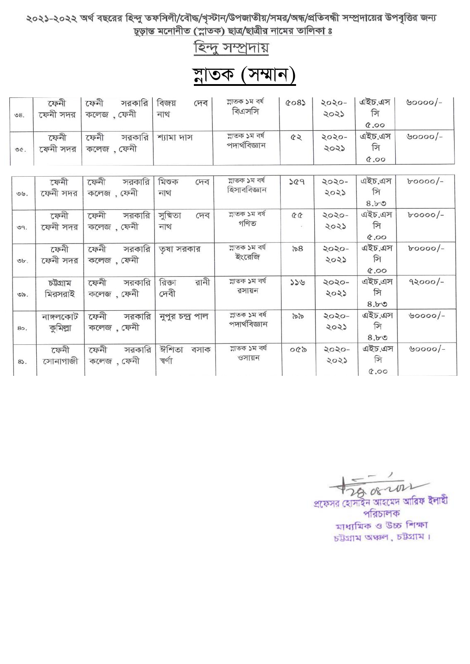২০২১-২০২২ অর্থ বছরের হিন্দু তফসিলী/বৌদ্ধ/খৃস্টান/উপজাতীয়/সমর/অন্ধ/প্রতিবন্ধী সম্প্রদায়ের উপবৃত্তির জন্য<br>চূড়ান্ত মনোনীত (স্লাতক) ছাত্র/ছাত্রীর নামের তালিকা ঃ

হিন্দু সম্প্রদায়

## ম্বাতক (সম্মান)

| 08.  | ফেনী<br>ফেনা সদর | ফেনী<br>সরকারি<br>. ফেনী<br>$\Phi$ (ellel | বিজয়<br>দেব<br>নাথ | ল্লাতক ১ম বর্ষ<br>বিএসসি        | COS | २०२०-<br>२०२১ | এইচ.এস<br>সি<br>00.9 | $50000/-$ |
|------|------------------|-------------------------------------------|---------------------|---------------------------------|-----|---------------|----------------------|-----------|
| O(C) | ফেনী<br>ফেনী সদর | সরকারি<br>ফেনী<br>. ফেনী<br>কলেজ          | শ্যামা দাস          | ম্লাতক ১ম বৰ্ষ<br>পদার্থবিজ্ঞান | 42  | 2020-<br>5057 | এইচ.এস<br>সি<br>00.9 | $00000$ - |

| $\circledcirc.$               | ফেনী<br>ফেনী সদর      | ফেনী<br>সরকারি<br>কলেজ, ফেনী  | মিশুক<br>দেব<br>নাথ      | ম্লাতক ১ম বৰ্ষ<br>হিসাববিজ্ঞান  | 882      | 2020-<br>२०२১ | এইচ.এস<br>সি<br>8.50 | $b$ 0000/-       |
|-------------------------------|-----------------------|-------------------------------|--------------------------|---------------------------------|----------|---------------|----------------------|------------------|
| 09.                           | ফেনী<br>ফেনী সদর      | ফেনী<br>সরকারি<br>কলেজ , ফেনী | সুক্মিতা<br>দেব<br>নাথ   | ম্লাতক ১ম বৰ্ষ<br>গণিত          | $\Omega$ | 2020-<br>२०२১ | এইচ.এস<br>সি<br>00.9 | $b$ 0000/-       |
| v                             | ফেনী<br>ফেনী সদর      | সরকারি<br>ফেনী<br>কলেজ , ফেনী | তৃষা সরকার               | ল্লাতক ১ম বৰ্ষ<br>ইংরেজি        | ৯৪       | 2020-<br>२०२১ | এইচ.এস<br>সি<br>00.9 | $b$ 0000/-       |
| $\mathcal{O}_{\mathcal{D}}$ . | চউগ্ৰাম<br>মিরসরাই    | সরকারি<br>ফেনী<br>কলেজ , ফেনী | রানী<br>রিক্তা<br>দেবী   | ল্লাতক ১ম বৰ্ষ<br>রসায়ন        | 356      | 2020-<br>२०२১ | এইচ.এস<br>সি<br>8.50 | $92000/-$        |
| 80.                           | নাঙ্গলকোট<br>কুমিল্লা | সরকারি<br>ফেনী<br>কলেজ , ফেনী | নুপুর চন্দ্র পাল         | ল্লাতক ১ম বৰ্ষ<br>পদাৰ্থবিজ্ঞান | ৯৯       | २०२०-<br>२०२১ | এইচ.এস<br>সি<br>8.50 | $\text{60000}$ - |
| 8                             | ফেনী<br>সোনাগাজী      | সরকারি<br>ফেনী<br>কলেজ , ফেনী | ঈশিতা<br>বসাক<br>ন্মৰ্ণা | ম্লাতক ১ম বৰ্ষ<br>ওসায়ন        | $\sigma$ | २०२०-<br>२०२১ | এইচ.এস<br>সি<br>00.9 | ৬০০০০/-          |

 $\frac{1}{28082022}$ প্রফেসর হোসাইন আহমেদ আরিফ ইলাহী পরিচালক মাধ্যমিক ও উচ্চ শিক্ষা চট্টগ্ৰাম অঞ্চল, চট্টগ্ৰাম।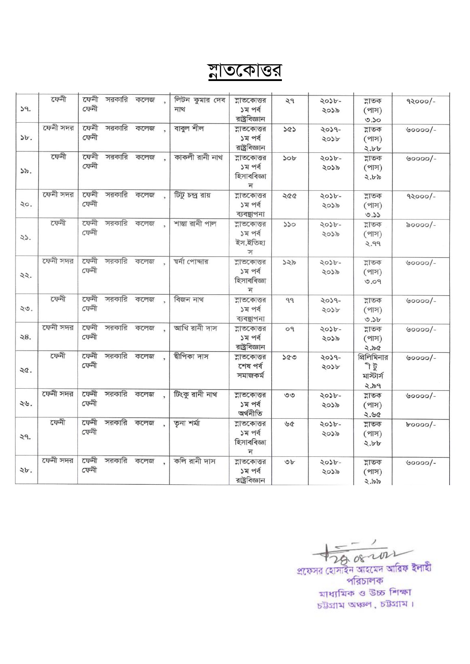## <u>নাতকোত্তর</u>

| 39.   | $\overline{C}$ कर्नी | ফেনী<br>ফেনী    | সরকারি কলেজ |      | লিটন কুমার দেব<br>নাথ | ন্নাতকোত্তর<br>১ম পর্ব<br>রাষ্ট্রবিজ্ঞান   | ২৭             | ২০১৮-<br>২০১৯ | ন্নাতক<br>$($ পাস)<br>0.50                | $92000/-$         |
|-------|----------------------|-----------------|-------------|------|-----------------------|--------------------------------------------|----------------|---------------|-------------------------------------------|-------------------|
| $b$ . | ফেনী সদর             | ফেনী<br>ফেনী    | সরকারি কলেজ |      | বাবুল শীল             | ন্নাতকোত্তর<br>১ম পর্ব<br>রাষ্ট্রবিজ্ঞান   | 5Q             | -P605<br>২০১৮ | ন্নাতক<br>(পাস)<br>2.66                   | $\text{60000}/-$  |
| 35.   | ফেনী                 | ফেনী<br>ফেনী    | সরকারি      | কলেজ | কাকলী রানী নাথ        | ন্নাতকোত্তর<br>১ম পর্ব<br>হিসাববিজ্ঞা<br>ন | 30b            | 2022-<br>२०১৯ | ল্লাতক<br>$($ পাস)<br>2.55                | $\cdot\cdot\cdot$ |
| 20.   | ফেনী সদর             | ফেনী<br>ফেনী    | সরকারি কলেজ |      | টিটু চন্দ্ৰ রায়      | ন্নাতকোত্তর<br>১ম পর্ব<br>ব্যবস্থাপনা      | 288            | ২০১৮-<br>२०५৯ | ন্নাতক<br>$($ পাস)<br>0.55                | $92000/-$         |
| 23.   | ফেনী                 | रक्ष्मी<br>ফেনী | সরকারি      | কলেজ | শান্তা রানী পাল       | ন্নাতকোত্তর<br>১ম পর্ব<br>ইস.ইতিহা<br>স    | 550            | ২০১৮-<br>২০১৯ | ন্নাতক<br>$($ পাস)<br>2.99                | $\delta$ 0000/-   |
| 22.   | ফেনী সদর             | ফেনী<br>ফেনী    | সরকারি কলেজ |      | শ্বৰ্না পোদ্দার       | ন্নাতকোত্তর<br>১ম পর্ব<br>হিসাববিজ্ঞা<br>ন | 322            | 2026-<br>২০১৯ | ন্নাতক<br>(পাস)<br>0.09                   | $\vee$ 0000/-     |
| 20.   | ফেনী                 | ফেনী<br>ফেনী    | সরকারি কলেজ |      | বিজন নাথ              | ন্নাতকোত্তর<br>১ম পর্ব<br>ব্যবস্থাপনা      | 99             | 2029-<br>२०১৮ | ন্নাতক<br>(পাস)<br>0.5b                   | $\vee$ 0000/-     |
| 28.   | ফেনী সদর             | ফেনী<br>ফেনী    | সরকারি কলেজ |      | আখি রানী দাস          | ন্নাতকোত্তর<br>১ম পর্ব<br>রাষ্ট্রবিজ্ঞান   | O <sub>9</sub> | ২০১৮-<br>২০১৯ | ন্নাতক<br>(পাস)<br>2.50                   | $00000/-$         |
| 20.   | ফেনী                 | ফেনী<br>ফেনী    | সরকারি কলেজ |      | দ্বীপিকা দাস          | ন্নাতকোত্তর<br>শেষ পর্ব<br>সমাজকৰ্ম        | 500            | 2029-<br>२०১৮ | প্রিলিমিনার<br>ৰ্ টু<br>মাস্টার্স<br>২.৯৭ | $00000/-$         |
| 28.   | ফেনী সদর             | ফেনী<br>ফেনী    | সরকারি কলেজ |      | টিংকু রানী নাথ        | ন্নাতকোত্তর<br>১ম পর্ব<br>অৰ্থনীতি         | 00             | 2026-<br>২০১৯ | ন্নাতক<br>(পাস)<br>2.50                   | $00000/-$         |
| 29.   | $\overline{C}$ कनी   | ফেনী<br>ফেনী    | সরকারি কলেজ |      | তৃনা শৰ্মা            | ন্নাতকোত্তর<br>১ম পর্ব<br>হিসাববিজ্ঞা<br>ন | 30             | ২০১৮-<br>২০১৯ | ন্নাতক<br>(পাস)<br>2.66                   | $b$ 0000/-        |
| 2b.   | ফেনী সদর             | ফেনী<br>ফেনী    | সরকারি      | কলেজ | কলি রানী দাস          | ন্নাতকোত্তর<br>১ম পর্ব<br>রাষ্ট্রবিজ্ঞান   | $\mathcal{F}$  | 2026-<br>२०১৯ | ন্নাতক<br>(পাস)<br>2.22                   | $00000/-$         |

 $2608 -101$ <br>প্রফেসর হোসাইন আহমেদ আরিফ ইলাহী

পরিচালক মাধ্যমিক ও উচ্চ শিক্ষা চট্টগ্রাম অঞ্চল, চট্টগ্রাম।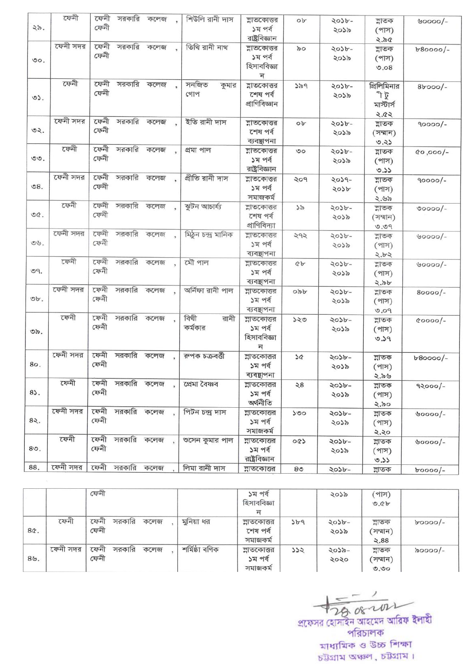প্রফেসর হোসাইন আহমেদ আরিফ ইলাহী পরিচালক মাধ্যমিক ও উচ্চ শিক্ষা চউগ্ৰাম অঞ্চল, চউগ্ৰাম।

|     |          | ফেনী                           |                | ১ম পর্ব<br>হিসাববিজ্ঞা<br>ন         |     | ২০১৯          | (পাস)<br>0.6b              |                 |
|-----|----------|--------------------------------|----------------|-------------------------------------|-----|---------------|----------------------------|-----------------|
| 8Q. | ফেনী     | ফেনী<br>সরকারি<br>কলেজ<br>ফেনী | মুনিয়া ধর     | শ্লাতকোত্তর<br>শেষ পর্ব<br>সমাজকৰ্ম | 3b9 | 5079-<br>২০১৯ | ল্লাতক<br>সম্মান)<br>2.88  | $b$ 0000/-      |
| 89. | ফেনী সদর | ফেনী<br>সরকারি<br>কলেজ<br>ফেনী | শৰ্মিষ্ঠা বণিক | ল্লাতকোত্তর<br>১ম পর্ব<br>সমাজকৰ্ম  | 522 | ২০১৯-<br>२०२० | ল্লাতক<br>(সম্মান)<br>0.90 | $\delta$ ০০০০/- |

| 25.                        | ফেনী     | ফেনী<br>ফেনী |               | সরকারি কলেজ | শিউলি রানী দাস          | ন্নাতকোত্তর<br>১ম পর্ব                                           | ob             | 2022-<br>২০১৯ | ন্নাতক<br>(পাস)                 | $\cdot\cdot\cdot$ |
|----------------------------|----------|--------------|---------------|-------------|-------------------------|------------------------------------------------------------------|----------------|---------------|---------------------------------|-------------------|
| $\circ$ .                  | ফেনী সদর | ফেনী<br>ফেনী |               | সরকারি কলেজ | তিথি রানী নাথ           | রাষ্ট্রবিজ্ঞান<br>ন্নাতকোত্তর<br>১ম পর্ব<br>হিসাববিজ্ঞা          | 50             | 2026-<br>२०५৯ | 2.50<br>ন্নাতক<br>(পাস)<br>0.08 | $b80000/-$        |
| $O2$ .                     | ফেনী     | ফেনী<br>ফেনী |               | সরকারি কলেজ | সনজিত<br>কুমার<br>গোপ   | ন<br>ন্নাতকোত্তর<br>শেষ পর্ব                                     | 329            | 2056-<br>২০১৯ | প্রিলিমিনার<br>ী টু             | $8b$ 000/-        |
|                            |          |              |               |             |                         | প্ৰাণিবিজ্ঞান                                                    |                |               | মাস্টার্স<br>2.82               |                   |
| 92.                        | ফেনী সদর | ফেনী<br>ফেনী | সরকারি        | কলেজ        | ইতি রানী দাস            | শ্লাতকোত্তর<br>শেষ পর্ব<br>ব্যবস্থাপনা                           | ob             | 2056-<br>২০১৯ | ন্নাতক<br>(সম্মান)<br>0.25      | $90000/-$         |
| $OO$ .                     | ফেনী     | ফেনী<br>ফেনী | সরকারি        | কলেজ        | প্ৰমা পাল               | ন্নাতকোত্তর<br>১ম পর্ব<br>রাষ্ট্রবিজ্ঞান                         | $\circ$        | 2022-<br>২০১৯ | ন্নাতক<br>(পাস)<br>0.55         | $100,000/-$       |
| $\mathcal{S}8.$            | ফেনী সদর | ফেনী<br>ফেনী | সরকারি কলেজ   |             | প্ৰীতি রানী দাস         | ন্নাতকোত্তর<br>১ম পর্ব<br>সমাজকৰ্ম                               | २०१            | -PL05<br>२०১৮ | ল্লাতক<br>(পাস)<br>2.95         | $90000/-$         |
| O(C)                       | ফেনী     | ফেনী<br>ফেনী | সরকারি        | কলেজ        | ঝুটন আচাৰ্য্য           | ন্নাতকোত্তর<br>শেষ পর্ব<br>প্রাণিবিদ্যা                          | 55             | 2056-<br>२०५৯ | ন্নাতক<br>(সম্মান)<br>0.09      | $00000/-$         |
| $\mathcal{O} \mathcal{G}.$ | ফেনী সদর | ফেনী<br>ফেনী | সরকারি        | কলেজ        | মিঠুন চন্দ্ৰ মানিক      | ন্নাতকোত্তর<br>১ম পর্ব<br>ব্যবছাপনা                              | 292            | 2022-<br>२०५৯ | ন্নাতক<br>(পাস)<br>5.95         | $\vee$ 0000/-     |
| O9.                        | ফেনী     | ফেনী<br>ফেনী | সরকারি কলেজ   |             | মৌ পাল                  | শ্লাতকোত্তর<br>১ম পর্ব<br>ব্যবস্থাপনা                            | Qb             | 2026-<br>२०५৯ | ল্লাতক<br>(পাস)                 | $00000/-$         |
| Ob.                        | ফেনী সদর | ফেনী<br>ফেনী | সরকারি কলেজ   |             | অৰ্নিফা রানী পাল        | ন্নাতকোত্তর<br>১ম পর্ব<br>ব্যবস্থাপনা                            | opp            | 5079-<br>२०५৯ | ২.৯৮<br>ন্নাতক<br>(পাস)         | $80000/-$         |
| ৩৯.                        | ফেনী     | ফেনী<br>ফেনী | সরকারি কলেজ   |             | বিথী<br>রানী<br>কর্মকার | ন্নাতকোত্তর<br>১ম পর্ব<br>হিসাববিজ্ঞা<br>$\overline{\mathbb{R}}$ | ১২৩            | 2026-<br>২০১৯ | 0.09<br>ল্লাতক<br>(FIP)<br>0.59 | $00000/-$         |
| 80.                        | ফেনী সদর | ফেনী<br>ফেনী | সরকারি কলেজ   |             | রুপক চক্রবর্ত্তী        | শ্লাতকোত্তর<br>১ম পর্ব<br>ব্যবস্থাপনা                            | 3Q             | 2026-<br>২০১৯ | ন্নাতক<br>(পাস)<br>9.99         | $b80000/-$        |
| 85.                        | ফেনী     | ফেনী<br>ফেনী | সরকারি কলেজ   |             | প্ৰেমা বৈষ্ণব           | ন্নাতকোত্তর<br>১ম পর্ব<br>অৰ্থনীতি                               | ২৪             | 5079-<br>२०५৯ | ম্লাতক<br>(পাস)<br>২.৯০         | $92000/-$         |
| 82.                        | ফেনী সদর | ফেনী<br>ফেনী | সরকারি কলেজ , |             | পিটন চন্দ্ৰ দাস         | শ্লাতকোত্তর<br>১ম পর্ব<br>সমাজকৰ্ম                               | ১৩০            | 5074-<br>২০১৯ | ন্নাতক<br>$($ পাস)<br>২.২০      | $\vee$ 0000/-     |
| 80.                        | ফেনী     | ফেনী<br>ফেনী | সরকারি কলেজ   |             | ণ্ডসেন কুমার পাল        | ন্নাতকোত্তর<br>১ম পর্ব<br>রাষ্ট্রবিজ্ঞান                         | 0Q             | २०১৮-<br>২০১৯ | ল্লাতক<br>$($ শাস $)$<br>0.33   | $\vee$ 0000/-     |
| 88.                        | ফেনী সদর | ফেনী         | সরকারি        | কলেজ        | লিমা রানী দাস           | শ্লাতকোত্তর                                                      | 8 <sup>o</sup> | 5074-         | ন্নাতক                          | $b$ 0000/-        |